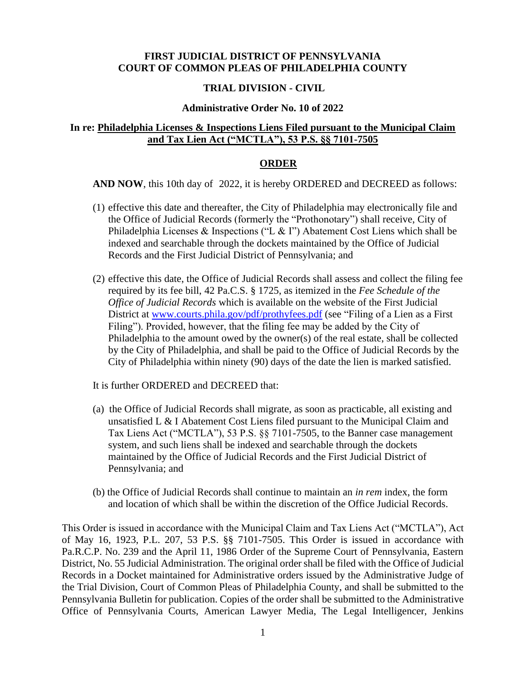## **FIRST JUDICIAL DISTRICT OF PENNSYLVANIA COURT OF COMMON PLEAS OF PHILADELPHIA COUNTY**

### **TRIAL DIVISION - CIVIL**

#### **Administrative Order No. 10 of 2022**

## **In re: Philadelphia Licenses & Inspections Liens Filed pursuant to the Municipal Claim and Tax Lien Act ("MCTLA"), 53 P.S. §§ 7101-7505**

#### **ORDER**

**AND NOW**, this 10th day of 2022, it is hereby ORDERED and DECREED as follows:

- (1) effective this date and thereafter, the City of Philadelphia may electronically file and the Office of Judicial Records (formerly the "Prothonotary") shall receive, City of Philadelphia Licenses & Inspections ("L & I") Abatement Cost Liens which shall be indexed and searchable through the dockets maintained by the Office of Judicial Records and the First Judicial District of Pennsylvania; and
- (2) effective this date, the Office of Judicial Records shall assess and collect the filing fee required by its fee bill, 42 Pa.C.S. § 1725, as itemized in the *Fee Schedule of the Office of Judicial Records* which is available on the website of the First Judicial District at [www.courts.phila.gov/pdf/prothyfees.pdf](http://www.courts.phila.gov/pdf/prothyfees.pdf) (see "Filing of a Lien as a First Filing"). Provided, however, that the filing fee may be added by the City of Philadelphia to the amount owed by the owner(s) of the real estate, shall be collected by the City of Philadelphia, and shall be paid to the Office of Judicial Records by the City of Philadelphia within ninety (90) days of the date the lien is marked satisfied.

It is further ORDERED and DECREED that:

- (a) the Office of Judicial Records shall migrate, as soon as practicable, all existing and unsatisfied L & I Abatement Cost Liens filed pursuant to the Municipal Claim and Tax Liens Act ("MCTLA"), 53 P.S. §§ 7101-7505, to the Banner case management system, and such liens shall be indexed and searchable through the dockets maintained by the Office of Judicial Records and the First Judicial District of Pennsylvania; and
- (b) the Office of Judicial Records shall continue to maintain an *in rem* index, the form and location of which shall be within the discretion of the Office Judicial Records.

This Order is issued in accordance with the Municipal Claim and Tax Liens Act ("MCTLA"), Act of May 16, 1923, P.L. 207, 53 P.S. §§ 7101-7505. This Order is issued in accordance with Pa.R.C.P. No. 239 and the April 11, 1986 Order of the Supreme Court of Pennsylvania, Eastern District, No. 55 Judicial Administration. The original order shall be filed with the Office of Judicial Records in a Docket maintained for Administrative orders issued by the Administrative Judge of the Trial Division, Court of Common Pleas of Philadelphia County, and shall be submitted to the Pennsylvania Bulletin for publication. Copies of the order shall be submitted to the Administrative Office of Pennsylvania Courts, American Lawyer Media, The Legal Intelligencer, Jenkins